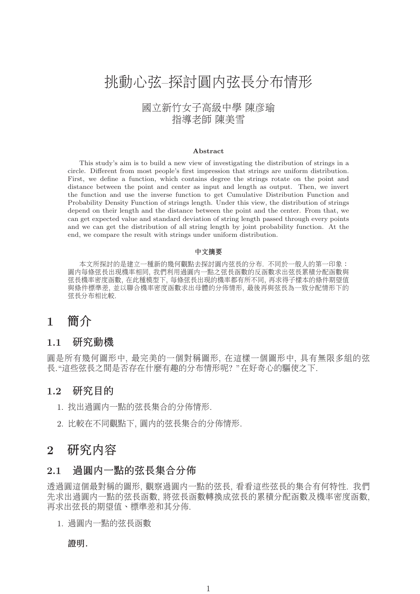# 挑動心弦–探討圓內弦長分布情形

## 國立新竹女子高級中學 陳彥瑜 指導老師 陳美雪

#### **Abstract**

This study's aim is to build a new view of investigating the distribution of strings in a circle. Different from most people's first impression that strings are uniform distribution. First, we define a function, which contains degree the strings rotate on the point and distance between the point and center as input and length as output. Then, we invert the function and use the inverse function to get Cumulative Distribution Function and Probability Density Function of strings length. Under this view, the distribution of strings depend on their length and the distance between the point and the center. From that, we can get expected value and standard deviation of string length passed through every points and we can get the distribution of all string length by joint probability function. At the end, we compare the result with strings under uniform distribution.

#### 中文摘要

本文所探討的是建立一種新的幾何觀點去探討圓內弦長的分布. 不同於一般人的第一印象: 圓內每條弦長出現機率相同, 我們利用過圓內一點之弦長函數的反函數求出弦長累積分配函數與 弦長機率密度函數, 在此種模型下, 每條弦長出現的機率都有所不同, 再求得子樣本的條件期望值 與條件標準差, 並以聯合機率密度函數求出母體的分佈情形, 最後再與弦長為一致分配情形下的 弦長分布相比較.

# **1** 簡介

#### **1.1** 研究動機

圓是所有幾何圖形中, 最完美的一個對稱圖形, 在這樣一個圖形中, 具有無限多組的弦 長."這些弦長之間是否存在什麼有趣的分布情形呢? "在好奇心的驅使之下.

## **1.2** 研究目的

- 1. 找出過圓內一點的弦長集合的分佈情形.
- 2. 比較在不同觀點下, 圓內的弦長集合的分佈情形.

# **2** 研究內容

#### **2.1** 過圓內一點的弦長集合分佈

透過圓這個最對稱的圖形, 觀察過圓內一點的弦長, 看看這些弦長的集合有何特性. 我們 先求出過圓內一點的弦長函數, 將弦長函數轉換成弦長的累積分配函數及機率密度函數, 再求出弦長的期望值、標準差和其分佈.

1. 過圓內一點的弦長函數

#### 證明*.*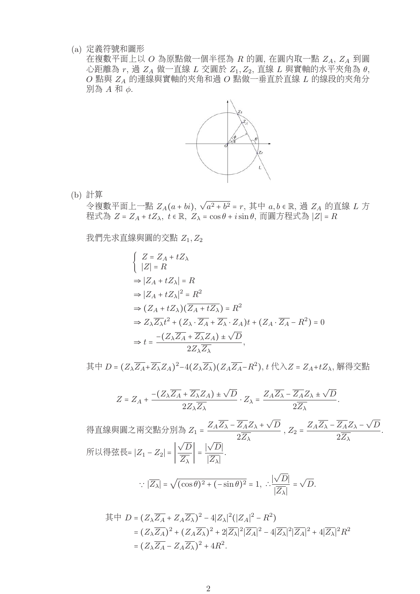(a) 定義符號和圖形

在複數平面上以  $O$  為原點做一個半徑為  $R$  的圓, 在圓内取一點  $Z_A$ ,  $Z_A$  到圓  $\overline{C}$ 距離為  $r$ , 過  $Z_A$  做一直線  $L$  交圓於  $Z_1, Z_2$ , 直線  $L$  與實軸的水平夾角為  $\theta$ ,  $O$  點與  $Z_A$  的連線與實軸的夾角和過 $O$  點做一垂直於直線  $L$  的線段的夾角分 別為 A 和 φ.



(b) 計算

令複數平面上一點  $Z_A(a+bi), \sqrt{a^2+b^2} = r$ , 其中  $a, b \in \mathbb{R}$ , 過  $Z_A$  的直線  $L$  方 程式為  $Z = Z_A + tZ_\lambda$ ,  $t \in \mathbb{R}$ ,  $Z_\lambda = \cos \theta + i \sin \theta$ , 而圓方程式為  $|Z| = R$ 

我們先求直線與圓的交點  $Z_1, Z_2$ 

$$
\begin{aligned}\n\begin{cases}\nZ &= Z_A + tZ_\lambda \\
|Z| &= R\n\end{cases} \\
&\Rightarrow |Z_A + tZ_\lambda| = R \\
\Rightarrow |Z_A + tZ_\lambda|^2 = R^2 \\
\Rightarrow (Z_A + tZ_\lambda)(\overline{Z_A + tZ_\lambda}) = R^2 \\
\Rightarrow Z_\lambda \overline{Z_\lambda} t^2 + (Z_\lambda \cdot \overline{Z_A} + \overline{Z_\lambda} \cdot Z_A)t + (Z_A \cdot \overline{Z_A} - R^2) = 0 \\
\Rightarrow t &= \frac{-(Z_\lambda \overline{Z_A} + \overline{Z_\lambda} Z_A) \pm \sqrt{D}}{2Z_\lambda \overline{Z_\lambda}},\n\end{aligned}
$$

其中  $D = (Z_{\lambda} \overline{Z_A} + \overline{Z_{\lambda}} Z_A)^2 - 4(Z_{\lambda} \overline{Z_{\lambda}}) (Z_A \overline{Z_A} - R^2), t \uparrow \lambda Z = Z_A + t Z_{\lambda}, \mathfrak{H} \uparrow \uparrow \uparrow \downarrow \uparrow$ 

$$
Z = Z_A + \frac{-(Z_\lambda \overline{Z_A} + \overline{Z_\lambda} Z_A) \pm \sqrt{D}}{2Z_\lambda \overline{Z_\lambda}} \cdot Z_\lambda = \frac{Z_A \overline{Z_\lambda} - \overline{Z_A} Z_\lambda \pm \sqrt{D}}{2\overline{Z_\lambda}}.
$$

得直線與圓之兩交點分別為  $Z_1 = \frac{Z_A \overline{Z_A} - \overline{Z_A} Z_A + \sqrt{D}}{2 \overline{Z_A}}$  $\overline{\frac{Z_A}{2Z_{\lambda}} + \sqrt{D}}$ ,  $Z_2 = \frac{Z_A\overline{Z_{\lambda}} - \overline{Z_A}Z_{\lambda} - \sqrt{D}}{2\overline{Z_{\lambda}}}$  $\frac{2Z_{\lambda}+Z_{\lambda}+Z_{\lambda}}{2Z_{\lambda}}$ . 所以得弦長=  $|Z_1 - Z_2|$  =  $\left| \frac{\sqrt{D}}{\overline{Z_\lambda}} \right|$  =  $\frac{|\sqrt{D}|}{|\overline{Z_\lambda}|}$  $\frac{\sqrt{2}}{|Z_{\lambda}|}$ .

$$
\therefore |\overline{Z_{\lambda}}| = \sqrt{(\cos \theta)^2 + (-\sin \theta)^2} = 1, \therefore \frac{|\sqrt{D}|}{|\overline{Z_{\lambda}}|} = \sqrt{D}.
$$

$$
\begin{split} \n\ddot{\mathbf{\mathcal{Z}}}\n&= (Z_{\lambda}\overline{Z_{A}} + Z_{A}\overline{Z_{\lambda}})^{2} - 4|Z_{\lambda}|^{2}(|Z_{A}|^{2} - R^{2}) \\ \n&= (Z_{\lambda}\overline{Z_{A}})^{2} + (Z_{A}\overline{Z_{\lambda}})^{2} + 2|\overline{Z_{\lambda}}|^{2}|\overline{Z_{A}}|^{2} - 4|\overline{Z_{\lambda}}|^{2}|\overline{Z_{A}}|^{2} + 4|\overline{Z_{\lambda}}|^{2}R^{2} \\ \n&= (Z_{\lambda}\overline{Z_{A}} - Z_{A}\overline{Z_{\lambda}})^{2} + 4R^{2} .\n\end{split}
$$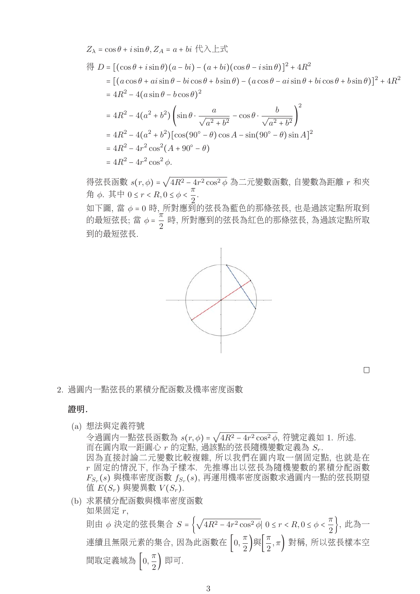$$
Z_{\lambda} = \cos \theta + i \sin \theta, Z_{A} = a + bi \ (\forall \lambda \pm \vec{x})
$$
  
\n
$$
\langle \exists D = [(\cos \theta + i \sin \theta)(a - bi) - (a + bi)(\cos \theta - i \sin \theta)]^{2} + 4R^{2}
$$
  
\n
$$
= [(a \cos \theta + ai \sin \theta - bi \cos \theta + b \sin \theta) - (a \cos \theta - ai \sin \theta + bi \cos \theta + b \sin \theta)]^{2} + 4R^{2}
$$
  
\n
$$
= 4R^{2} - 4(a \sin \theta - b \cos \theta)^{2}
$$
  
\n
$$
= 4R^{2} - 4(a^{2} + b^{2}) (\sin \theta \cdot \frac{a}{\sqrt{a^{2} + b^{2}}} - \cos \theta \cdot \frac{b}{\sqrt{a^{2} + b^{2}}})^{2}
$$
  
\n
$$
= 4R^{2} - 4(a^{2} + b^{2}) [\cos(90^{\circ} - \theta) \cos A - \sin(90^{\circ} - \theta) \sin A]^{2}
$$
  
\n
$$
= 4R^{2} - 4r^{2} \cos^{2}(A + 90^{\circ} - \theta)
$$
  
\n
$$
= 4R^{2} - 4r^{2} \cos^{2} \phi.
$$

得弦長函數  $s(r,\phi)$  =  $\sqrt{4R^2-4r^2\cos^2\phi}$  為二元變數函數, 自變數為距離 r 和夾  $\hat{H}$  φ. 其中 0 ≤ r < R, 0 ≤ φ <  $\frac{\pi}{2}$ 2 .

<sup>如</sup>下圖, <sup>當</sup> <sup>φ</sup> <sup>=</sup> <sup>0</sup> <sup>時</sup>, <sup>所</sup>對應到的弦長為藍色的那條弦長, <sup>也</sup>是過該定點所取<sup>到</sup> <sup>的</sup>最短弦長; <sup>當</sup> <sup>φ</sup> <sup>=</sup> <sup>π</sup> <sup>2</sup> <sup>時</sup>, <sup>所</sup>對應到的弦長為紅色的那條弦長, <sup>為</sup>過該定點所<sup>取</sup> 到的最短弦長.



 $\Box$ 

2. 過圓內一點弦長的累積分配函數及機率密度函數

#### 證明*.*

(a) 想法與定義符號

 $\rightarrow$  過向一點弦長函數為  $s(r, \phi) = \sqrt{4R^2 - 4r^2 \cos^2 \phi}$ , 符號定義如 1. 所述. 而在圓內取一距圓心 r 的定點, 過該點的弦長隨機變數定義為 Sr. 因為直接討論二元變數比較複雜, 所以我們在圓內取一個固定點, 也就是在

r 固定的情況下, 作為子樣本. 先推導出以弦長為隨機變數的累積分配函數  $F_{S_r}(s)$ 與機率密度函數  $f_{S_r}(s)$ , 再運用機率密度函數求過圓內一點的弦長期望 值  $E(S_r)$  與變異數  $V(S_r)$ .

(b) 求累積分配函數與機率密度函數 如果固定 r, 則由 φ 決定的弦長集合  $S$  =  $\left\{\sqrt{4R^2-4r^2\cos^2\phi}|\,\,0\leq r< R, 0\leq\phi<\frac{\pi}{2}\right\}$  $\frac{\pi}{2}$ }, 此為一 連續且無限元素的集合, 因為此函數在 $\left[0,\frac{\pi}{2}\right]$  $\frac{\pi}{2}$ )與  $\pi$  $\left(\frac{\pi}{2},\pi\right)$  對稱, 所以弦長樣本空 間取定義域為 $\left[0,\frac{\pi}{2}\right]$  $\frac{\pi}{2}$  | 即可.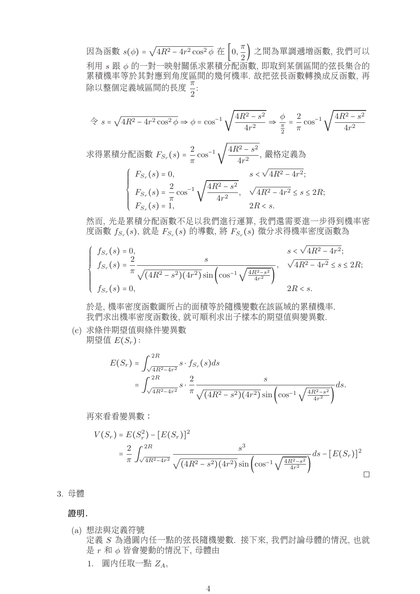因為函數  $s(\phi) = \sqrt{4R^2 - 4r^2 \cos^2 \phi}$  在  $\left[0, \frac{\pi}{2}\right]$  $\binom{n}{2}$  之間為單調遞增函數, 我們可以 利用 s 跟 φ 的一對一映射關係求累積分配函數, 即取到某個區間的弦長集合的 累積機率等於其對應到角度區間的幾何機率. 故把弦長函數轉換成反函數, 再 お偵似平守広共判応均用及画<br>除以整個定義域區間的長度 -2 :

$$
\hat{\Leftrightarrow} \ s = \sqrt{4R^2 - 4r^2 \cos^2 \phi} \Rightarrow \phi = \cos^{-1} \sqrt{\frac{4R^2 - s^2}{4r^2}} \Rightarrow \frac{\phi}{\frac{\pi}{2}} = \frac{2}{\pi} \cos^{-1} \sqrt{\frac{4R^2 - s^2}{4r^2}}
$$

求得累積分配函數  $F_{S_r}(s) = \frac{2}{\pi} \cos^{-1} \sqrt{\frac{4R^2 - s^2}{4r^2}}$  $\frac{a}{4r^2}$ ,嚴格定義為

$$
\begin{cases}\nF_{S_r}(s) = 0, & s < \sqrt{4R^2 - 4r^2}; \\
F_{S_r}(s) = \frac{2}{\pi} \cos^{-1} \sqrt{\frac{4R^2 - s^2}{4r^2}}, & \sqrt{4R^2 - 4r^2} \le s \le 2R; \\
F_{S_r}(s) = 1, & 2R < s.\n\end{cases}
$$

然而, 光是累積分配函數不足以我們進行運算, 我們還需要進一步得到機率密 度函數  $f_{S_r}(s)$ , 就是  $F_{S_r}(s)$  的導數, 將  $F_{S_r}(s)$  微分求得機率密度函數為

$$
\begin{cases}\n f_{S_r}(s) = 0, & s < \sqrt{4R^2 - 4r^2}; \\
 f_{S_r}(s) = \frac{2}{\pi} \frac{s}{\sqrt{(4R^2 - s^2)(4r^2)} \sin\left(\cos^{-1}\sqrt{\frac{4R^2 - s^2}{4r^2}}\right)}, & \sqrt{4R^2 - 4r^2} \le s \le 2R; \\
 f_{S_r}(s) = 0, & 2R < s.\n\end{cases}
$$

於是, 機率密度函數圖所占的面積等於隨機變數在該區域的累積機率. 我們求出機率密度函數後, 就可順利求出子樣本的期望值與變異數.

(c) 求條件期望值與條件變異數 期望值  $E(S_r)$ :

$$
E(S_r) = \int_{\sqrt{4R^2 - 4r^2}}^{2R} s \cdot f_{S_r}(s) ds
$$
  
= 
$$
\int_{\sqrt{4R^2 - 4r^2}}^{2R} s \cdot \frac{2}{\pi} \frac{s}{\sqrt{(4R^2 - s^2)(4r^2)} \sin\left(\cos^{-1}\sqrt{\frac{4R^2 - s^2}{4r^2}}\right)} ds.
$$

再來看看變異數:

$$
V(S_r) = E(S_r^2) - [E(S_r)]^2
$$
  
=  $\frac{2}{\pi} \int_{\sqrt{4R^2 - 4r^2}}^{2R} \frac{s^3}{\sqrt{(4R^2 - s^2)(4r^2)} \sin\left(\cos^{-1}\sqrt{\frac{4R^2 - s^2}{4r^2}}\right)} ds - [E(S_r)]^2$ 

3. 母體

證明*.*

- (a) 想法與定義符號 定義 S 為過圓內任一點的弦長隨機變數. 接下來, 我們討論母體的情況, 也就 是  $r$  和  $\phi$  皆會變動的情況下, 母體由
	- 1. 圓内任取一點  $Z_A$ ,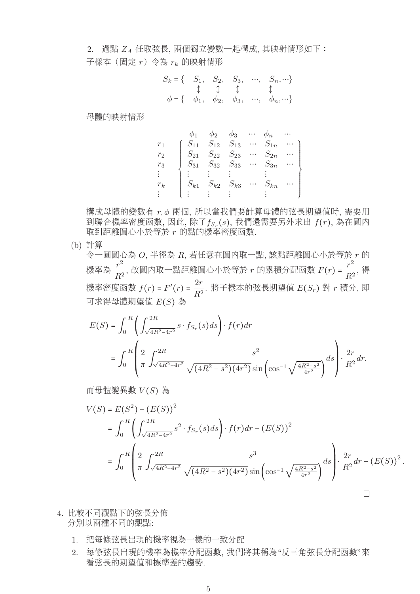$2.$  過點  $Z_A$  任取弦長, 兩個獨立變數一起構成, 其映射情形如下: 子樣本(固定  $r$ ) 令為  $r_k$  的映射情形

$$
S_k = \left\{ \begin{array}{cccc} S_1, & S_2, & S_3, & \cdots, & S_n, \cdots \right\} \\ \updownarrow & \updownarrow & \updownarrow & \updownarrow \\ \phi = \left\{ \begin{array}{cccc} \phi_1, & \phi_2, & \phi_3, & \cdots, & \phi_n, \cdots \right\} \end{array} \right.
$$

母體的映射情形

|                |          | $\phi_2$                   | $\varphi_3$       |                                            |                       |  |
|----------------|----------|----------------------------|-------------------|--------------------------------------------|-----------------------|--|
| r <sub>1</sub> | $S_{11}$ |                            | $S_{12}$ $S_{13}$ | $\mathbf{r}$ , $\mathbf{r}$ , $\mathbf{r}$ | $S_{1n}$              |  |
| r <sub>2</sub> |          | $S_{21}$ $S_{22}$ $S_{23}$ |                   |                                            | $\cdots \quad S_{2n}$ |  |
| $r_3$          |          | $S_{31}$ $S_{32}$ $S_{33}$ |                   |                                            | $\cdots$ $S_{3n}$     |  |
|                |          |                            |                   |                                            |                       |  |
| $r_k$          | $S_{k1}$ | $S_{k2}$                   | $S_{k3}$          |                                            | $S_{kn}$              |  |
|                |          |                            |                   |                                            |                       |  |
|                |          |                            |                   |                                            |                       |  |

構成母體的變數有 r, φ 兩個, 所以當我們要計算母體的弦長期望值時, 需要用 到聯合機率密度函數,因此,除了 $f_{S_r}(s)$ ,我們還需要另外求出 $f(r)$ ,為在圓内 取到距離圓心小於等於 r 的點的機率密度函數.

(b) 計算

令一圓圓心為 O, 半徑為 R, 若任意在圓內取一點, 該點距離圓心小於等於 r 的 機率為  $\frac{r^2}{R^2}$ , 故圓内取一點距離圓心小於等於 r 的累積分配函數  $F(r) = \frac{r^2}{R^2}$ , 得 機率密度函數  $f(r)$  =  $F'(r)$  =  $\frac{2r}{R^2}$ . 將子樣本的弦長期望值  $E(S_r)$  對  $r$  積分, 即 <sup>可</sup>求得母體期望<sup>值</sup> <sup>E</sup>(S) <sup>為</sup>

$$
E(S) = \int_0^R \left( \int_{\sqrt{4R^2 - 4r^2}}^{2R} s \cdot f_{S_r}(s) ds \right) \cdot f(r) dr
$$
  
= 
$$
\int_0^R \left( \frac{2}{\pi} \int_{\sqrt{4R^2 - 4r^2}}^{2R} \frac{s^2}{\sqrt{(4R^2 - s^2)(4r^2)} \sin \left( \cos^{-1} \sqrt{\frac{4R^2 - s^2}{4r^2}} \right)} ds \right) \cdot \frac{2r}{R^2} dr.
$$

而母體變異數  $V(S)$ 為

$$
V(S) = E(S^{2}) - (E(S))^{2}
$$
  
=  $\int_{0}^{R} \left( \int_{\sqrt{4R^{2}-4r^{2}}}^{2R} s^{2} \cdot f_{S_{r}}(s) ds \right) \cdot f(r) dr - (E(S))^{2}$   
=  $\int_{0}^{R} \left( \frac{2}{\pi} \int_{\sqrt{4R^{2}-4r^{2}}}^{2R} \frac{s^{3}}{\sqrt{(4R^{2}-s^{2})(4r^{2})} \sin \left(\cos^{-1} \sqrt{\frac{4R^{2}-s^{2}}{4r^{2}}}\right)} ds \right) \cdot \frac{2r}{R^{2}} dr - (E(S))^{2}$ .

- 4. 比較不同觀點下的弦長分佈 分別以兩種不同的觀點:
	- 1. 把每條弦長出現的機率視為一樣的一致分配
	- 2. 每條弦長出現的機率為機率分配函數, 我們將其稱為"反三角弦長分配函數"來 看弦長的期望值和標準差的趨勢.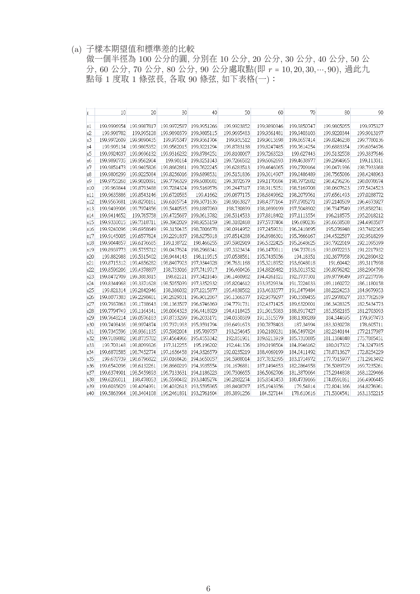(a) 子樣本期望值和標準差的比較

做一個半徑為 100 公分的圓, 分別在 10 公分, 20 公分, 30 公分, 40 公分, 50 公 <sup>分</sup>, 60 <sup>公</sup>分, 70 <sup>公</sup>分, 80 <sup>公</sup>分, 90 <sup>公</sup>分處取點(<sup>即</sup> <sup>r</sup> <sup>=</sup> <sup>10</sup>, <sup>20</sup>, <sup>30</sup>,⋯, 90), <sup>過</sup>此<sup>九</sup> 點每 1 度取 1 條弦長, 各取 90 條弦, 如下表格(一):

| r               | 10          | 20          | 30          | 40          | 50          | 60          | 70          | 80          | 90          |
|-----------------|-------------|-------------|-------------|-------------|-------------|-------------|-------------|-------------|-------------|
|                 |             |             |             |             |             |             |             |             |             |
| s1              | 199.9996954 | 199.9987817 | 199.9972587 | 199.9951266 | 199.9923852 | 199.9890346 | 199.9850747 | 199.9805055 | 199.975327  |
| s2              | 199.998782  | 199.995128  | 199.9890379 | 199.9805115 | 199.9695483 | 199.9561481 | 199.9403103 | 199.9220344 | 199.9013197 |
| s <sub>3</sub>  | 199.9972609 | 199.9890435 | 199.975347  | 199.9561704 | 199.931512  | 199.9013698 | 199.8657414 | 199.8246238 | 199,7780136 |
| s4              | 199.995134  | 199.9805352 | 199.9562015 | 199.9221294 | 199.8783138 | 199.8247485 | 199.7614254 | 199.6883354 | 199.6054676 |
| 85              | 199.9924037 | 199.9696132 | 199.9316232 | 199.8784251 | 199.8100067 | 199.7263523 | 199.627443  | 199.5132558 | 199.3837646 |
| s6              | 199.9890735 | 199.9562904 | 199.90164   | 199.8251043 | 199.7266582 | 199.6062693 | 199.4638977 | 199.2994965 | 199.113011  |
| s7              | 199.9851473 | 199.9405826 | 199.8662861 | 199.7622245 | 199.6283513 | 199.4646065 | 199.2709164 | 199.0471936 | 198.7933368 |
| s <sup>8</sup>  | 199.9806299 | 199.9225084 | 199.8256016 | 199.6898531 | 199.5151836 | 199.3014907 | 199.0486489 | 198.7565086 | 198.4248963 |
| <sub>s9</sub>   | 199.9755268 | 199.9020891 | 199.7796329 | 199.6080681 | 199.3872679 | 199.1170684 | 198.7972682 | 198.4276276 | 198.0078674 |
| s10             | 199.969844  | 199.8793488 | 199.7284324 | 199.5169576 | 199.2447317 | 198.9115051 | 198.5169708 | 198.0607623 | 197.5424523 |
| s11             | 199.9635886 | 199.8543146 | 199.6720585 | 199.41662   | 199.0877175 | 198.6849862 | 198.2079761 | 197.6561493 | 197.0288772 |
| s12             | 199.9567681 | 199.8270161 | 199.6105754 | 199.3071636 | 198.9163827 | 198.4377164 | 197.8705271 | 197.2140509 | 196.4673927 |
| s13             | 199.9493906 | 199.7974856 | 199.5440535 | 199.1887069 | 198.730899  | 198.1699199 | 197.5048902 | 196.7347549 | 195.8582741 |
| s14             | 199.9414652 | 199.765758  | 199.4725687 | 199.0613782 | 198.5314533 | 197.8818402 | 197.1113554 | 196.218575  | 195.2018212 |
| s15             | 199.9330015 | 199.7318711 | 199.3962029 | 198.9253159 | 198.3182468 | 197.5737404 | 196,690236  | 195,6658508 | 194.4983587 |
| s16             | 199.9240096 | 199.6958649 | 199.3150435 | 198.7806678 | 198.0914952 | 197.2459031 | 196.2418695 | 195.076948  | 193.7482365 |
| s17             | 199.9145005 | 199.6577824 | 199.2291837 | 198.6275918 | 197.8514288 | 196.8986301 | 195.7666167 | 194.4522587 | 192.9518299 |
| s18             | 199.9044857 | 199.6176685 | 199.138722  | 198.466255  | 197.5982919 | 196.5322425 | 195.2648625 | 193.7922019 | 192.1095399 |
| s19             | 199.8939773 | 199.5755712 | 199.0437624 | 198.2968341 | 197.3323434 | 196.1470811 | 194.737016  | 193.0972233 | 191.2217932 |
| s20             | 199.882988  | 199.5315402 | 198.9444143 | 198.119515  | 197.0538561 | 195.7435056 | 194.18351   | 192.3677958 | 190.2890432 |
| s21             | 199.8715312 | 199.4856282 | 198.8407923 | 197.9344928 | 196.7631168 | 195.3218952 | 193.6048018 | 191.60442   | 189.3117698 |
| s22             | 199.8596206 | 199.4378897 | 198.733016  | 197.7419717 | 196.460426  | 194.8826482 | 193,0013732 | 190.8076242 | 188,2904798 |
| s23             | 199.8472709 | 199.3883815 | 198.62121   | 197.5421646 | 196.1460982 | 194.4261821 | 192.3737301 | 189.9779649 | 187.2257076 |
| s24             | 199.8344968 | 199.3371628 | 198.5055039 | 197.3352932 | 195.8204612 | 193.9529334 | 191.7224033 | 189.1160272 | 186.1180158 |
| s25             | 199.821314  | 199.2842946 | 198.386032  | 197.1215877 | 195.4838562 | 193.4633577 | 191.0479484 | 188.2224253 | 184.9679953 |
| s26             | 199.8077383 | 199.2298401 | 198.2629331 | 196.9012867 | 195.1366377 | 192.9579297 | 190.3509455 | 187.2978027 | 183.7762659 |
| s27             | 199.7937863 | 199.1738643 | 198.1363507 | 196.6746369 | 194.7791731 | 192.4371425 | 189.6320001 | 186.3428325 | 182.5434773 |
| 828             | 199.7794749 | 199.1164341 | 198.0064323 | 196.4418929 | 194.4118425 | 191.9015083 | 188.8917427 | 185.3582185 | 181.2703093 |
| s29             | 199.7648214 | 199.0576183 | 197.8733299 | 196.2033171 | 194.0350389 | 191.3515579 | 188.1308289 | 184.344695  | 179.957473  |
| 830             | 199.7498436 | 198.9974874 | 197.7371993 | 195.9591794 | 193.6491673 | 190.7878403 | 187.34994   | 183.3030278 | 178.605711  |
| s31             | 199.7345596 | 198.9361135 | 197.5982004 | 195,709757  | 193.254645  | 190.2109231 | 186.5497824 | 182.2340144 | 177.2157987 |
| s32             | 199.7189882 | 198.8735702 | 197.4564966 | 195.4553342 | 192.851901  | 189.6213919 | 185.7310885 | 181.1384848 | 175.7885451 |
| s33             | 199.703148  | 198.8099326 | 197.312255  | 195.196202  | 192.441376  | 189.0198504 | 184.8946162 | 180.017302  | 174.3247935 |
| s34             | 199.6870585 | 198.7452774 | 197.1656458 | 194.9326579 | 192.0235219 | 188.4069199 | 184.0411492 | 178.8713627 | 172.8254229 |
| s35             | 199.670739  | 198.6796822 | 197.0168426 | 194.6650057 | 191.5988014 | 187.7832395 | 183.1714972 | 177.7015977 | 171.2913492 |
| s36             | 199.6542096 | 198.6132261 | 196.8660219 | 194.3935554 | 191.1676881 | 187.1494653 | 182.2864958 | 176.5089729 | 169.7235261 |
| s37             | 199.6374901 | 198.5459893 | 196.7133631 | 194.1186223 | 190.7306655 | 186,5062706 | 181.3870064 | 175.2944898 | 168.1229466 |
| s38             | 199.6206011 | 198.478053  | 196.5590482 | 193.8405274 | 190.2882274 | 185.8543453 | 180.4739166 | 174.0591861 | 166.4906445 |
| <sub>8</sub> 39 | 199.6035629 | 198.4094991 | 196.4032613 | 193.5595965 | 189.8408767 | 185.1943956 | 179.54814   | 172.8041366 | 164.8276961 |
| s40             | 199.5863964 | 198.3404108 | 196.2461891 | 193,2761604 | 189.3891256 | 184.527144  | 178,610616  | 171.5304541 | 163.1352215 |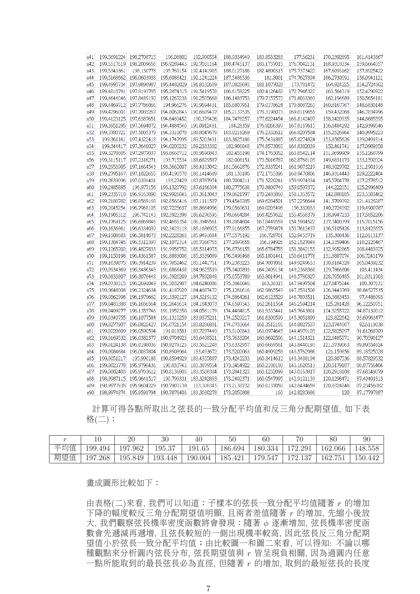| s41 | 199.5691224 | 198.2708715            | 196.08802               | 192.990554  | 188.9334949 | 183.8533283 | 177.66231   | 170.2392895 | 161.4143867 |
|-----|-------------|------------------------|-------------------------|-------------|-------------|-------------|-------------|-------------|-------------|
| s42 | 199.5517619 | 198.2009656            | 195.9289443             | 192.7031164 | 188.4745137 | 183.1737015 | 176.7042131 | 168.9318334 | 159.6664057 |
| s43 | 199.5343361 | 198.130778             | 195.769154              | 192.4141905 | 188.0127186 | 182.4890315 | 175.7373422 | 167.6093162 | 157.8925422 |
| s44 | 199.5168662 | 198.0603938            | 195.6088421             | 192.1241224 | 187.5486536 | 181.8001    | 174.7627394 | 166.2730091 | 156.0941121 |
| s45 | 199.4993734 | 197.9898987            | 195.4482029             | 191.8332609 | 187.0828693 | 181.1077028 | 173.781472  | 164.924225  | 154.2724862 |
| s46 | 199.4818791 | 197.9193785            | 195.2874315             | 191.5419578 | 186.6159225 | 180.4126482 | 172.7946322 | 163,564319  | 152.4290922 |
| s47 | 199.4644046 | 197.8489192            | 195.1267238             | 191.2505668 | 186.1483753 | 179.7157572 | 171.8033369 | 162.194689  | 150.5654181 |
| s48 | 199.4469712 | 197.7786066            | 194.966276              | 190.9594431 | 185.6807951 | 179.0178624 | 170.8087265 | 160.8167767 | 148.6830148 |
| s49 | 199.4296001 | 197,7085267            | 194.8062843             | 190.6689437 | 185.2137535 | 178.3198073 | 169.8119655 | 159.432068  | 146.7834996 |
| s50 | 199.4123125 | 197.6387651            | 194.6469452             | 190.379426  | 184.7478257 | 177.6224454 | 168.8142407 | 158.0420935 | 144.8685595 |
| s51 | 199.3951295 | 197.5694072            | 194.4884546 190.0912481 |             | 184.28359   | 176.9266397 | 167.8167615 | 156.6484292 | 142.9399546 |
| s52 | 199.3780721 | 197.5005379            | 194.3310078             | 189.8047679 | 183.8216269 | 176.2332612 | 166.8207584 | 155.2526964 | 140.9995223 |
| s53 |             | 199.361161 197.4322418 | 194.1747995             | 189.5203431 | 183.3625186 | 175.5431885 | 165.8274824 | 153.8565626 | 139.0491814 |
| s54 | 199.344417  | 197.3646027            | 194.0200232             | 189.2383302 | 182.906848  | 174.8573065 | 164.8382039 | 152.461741  | 137.0909358 |
| s55 | 199.3278605 | 197.2977037            | 193,8668712             | 188.9590843 | 182.455198  | 174.1765052 | 163.8542114 | 151.0699909 | 135.1268799 |
| s56 | 199.3115117 | 197.2316271            | 193.715534              | 188.6829587 | 182.008151  | 173.5016787 | 162.8768105 | 149.6831173 | 133.1592024 |
| s57 | 199.2953905 | 197.1664543            | 193.5662007             | 188.4103042 | 181.5662876 | 172.8337241 | 161.9073219 | 148.3029702 | 131.1901916 |
| s58 | 199.2795167 | 197.1022655            | 193.4190578 188.1414689 |             | 181.130186  | 172.1735396 | 160.9470806 | 146.9314443 | 129.2222404 |
| s59 | 199.2639096 | 197.0391401            | 193.27429               | 187.8767974 | 180.7004211 | 171.5220241 | 159.9974334 | 145.5704778 | 127.2578512 |
| s60 | 199.2485885 | 196.977156             | 193.1320792             | 187.6166304 | 180.2775638 | 170.8800749 | 159.0597372 | 144.222051  | 125.2996409 |
| s61 | 199.2335718 | 196.9163898            | 192.9926043             | 187.3613043 | 179.8621797 | 170.2485868 | 158.1353572 | 142.888185  | 123.3503462 |
| s62 | 199.2188782 | 196.8569168            | 192.8560416             | 187.1111507 | 179.4548285 | 169.6284501 | 157.2256644 | 141.5709392 | 121.4128287 |
| s63 | 199.2045254 | 196.7988105            | 192.7225637             | 186.8664956 | 179.0560631 | 169.0205496 | 156.332033  | 140.2724092 | 119.4900787 |
| s64 | 199.1905312 | 196.742143             | 192.5923398             | 186.6276595 | 178.6664284 | 168.4257622 | 155.4558379 | 138.9947233 | 117.5852206 |
| s65 | 199.1769125 | 196.6869846            | 192.4655354             | 186.3949561 | 178.2864604 | 167.8449559 | 154.5984522 | 137.7400399 | 115.7015156 |
| s66 | 199.1636861 | 196.6334039            | 192.3423118             | 186.1686925 | 177.9166855 | 167.2789874 | 153.7612437 | 136.5105426 | 113.8423655 |
| s67 | 199.1508683 | 196.5814673            | 192.2228263             | 185.9491684 | 177.5576192 | 166.728701  | 152.9455719 | 135.308436  | 112.0113137 |
| s68 | 199.1384745 | 196.5312397            | 192.1072314             | 185,7366755 | 177.2097655 | 166.194926  | 152.1527849 | 134.1359406 | 110.2120467 |
| s69 | 199.1265202 | 196.4827833            | 191.9956752             | 185.5314975 | 176.8736155 | 165.6784755 | 151.3842155 | 132.9952865 | 108.4483925 |
| s70 | 199.1150198 | 196.4361587            | 191.8883008             | 185.3339089 | 176.5496468 | 165.1801441 | 150.6411778 | 131.8887074 | 106.7243179 |
| s71 | 199.1039875 | 196.3914239            | 191.7852462             | 185.1441751 | 176.2383223 | 164.7007061 | 149.9249633 | 130.8184328 | 105.0439232 |
| s72 | 199.0934369 | 196.3486348            | 191.6866438             | 184.9625519 | 175.9400893 | 164.2409134 | 149.2368368 | 129,7866806 | 103.411434  |
| s73 | 199.0833807 | 196.3078448            | 191.5926209             | 184.7892848 | 175.6553789 | 163.8014941 | 148.5780327 | 128.7956485 | 101.8311903 |
| s74 | 199.0738315 | 196.2691049            | 191.5032987             | 184.6246086 | 175.3846046 | 163.38315   | 147.9497504 | 127.8475044 | 100.307631  |
| s75 | 199.0648008 | 196.2324634            | 191.4187929             | 184.4687472 | 175.1281616 | 162.9865549 | 147.3531508 | 126.9443769 | 98.84527535 |
| s76 | 199.0562998 | 196.1979662            | 191.3392127             | 184.3219132 | 174.8864261 | 162.6123529 | 146.7893511 | 126.0883453 | 97.4486993  |
| s77 | 199.0483388 | 196.1656564            | 191.2646614             | 184.1843073 | 174.6597543 | 162.2611564 | 146.2594214 | 125.281428  | 96.12250751 |
| s78 | 199.0409277 | 196.1355746            | 191.1952358             | 184.0561179 | 174.4484815 | 161.9335441 | 145.7643801 | 124.5255722 | 94.87130012 |
| s79 | 199.0340755 | 196.1077584            | 191.1310259             | 183.9375211 | 174.2529217 | 161.6300599 | 145.3051899 | 123.822642  | 93.69963477 |
| s80 | 199.0277907 | 196.0822427            | 191.0721154 183.8286801 |             | 174.0733664 | 161.3512105 | 144.8827537 | 123.1744067 | 92.6119838  |
| s81 | 199.0220809 | 196.0590594            | 191.018581              | 183.7297449 | 173.9100843 | 161.0974645 | 144.4979105 | 122.5825297 | 91.61268709 |
| s82 | 199.0169532 | 196.0382377            | 190.9704923             | 183.6408521 | 173.7633204 | 160.8692506 | 144.1514321 | 122.0485571 | 90.70590127 |
| s83 | 199.0124138 | 196.0198036            | 190.9279123             | 183.5621248 | 173.6332957 | 160.6669561 | 143.8440193 | 121.5739063 | 89.89554624 |
| s84 | 199.0084684 | 196.0037804            | 190.8908964             | 183.493672  | 173.5202063 | 160.4909258 | 143.5762986 | 121.159856  | 89.18525028 |
| s85 | 199.0051217 | 195.990188             | 190.8594929             | 183.4355887 | 173.4242233 | 160.3414612 | 143.3488194 | 120.807536  | 88.57829532 |
| s86 | 199.0023778 | 195.9790436            | 190.833743              | 183.3879554 | 173.3454922 | 160.2188188 | 143.1620513 | 120.5179187 | 88.07756404 |
| s87 | 199.0002403 | 195.9703612            | 190.8136803             | 183.3508384 | 173.2841323 | 160.1232099 | 143.0163817 | 120.2918108 | 87.68549079 |
| s88 | 198.9987115 | 195.9641517            | 190.799331              | 183.3242893 | 173.2402371 | 160.0547995 | 142.9121139 | 120.1298471 | 87.40401813 |
| s89 | 198.9977935 | 195.9604229            | 190.7907139             | 183,308345  | 173.2138732 | 160.0137058 | 142.8494659 | 120.0324848 | 87.23456082 |
| s90 | 198.9974874 | 195.9591794            | 190.7878403 183.3030278 |             | 173,2050808 | 160         | 142.8285686 | 120         | 87.17797887 |
|     |             |                        |                         |             |             |             |             |             |             |

計算可得各點所取出之弦長的一致分配平均值和反三角分配期望值, 如下表 格(二):

|     |             | 20            | 30      | 40      | 50                  | 60      | 70                     | 80      | 90      |
|-----|-------------|---------------|---------|---------|---------------------|---------|------------------------|---------|---------|
| 平均值 | 199.494     | .962<br>197   | 195.37  | 191.65  | 86.694              | 180.334 | $-20^{\circ}$<br>$-70$ | 162.066 | 148.558 |
| 期望值 | .268<br>197 | 195.8<br>.849 | 193.448 | 190.004 | 85.<br>$42^{\circ}$ | 179.547 | $70^{\circ}$           | 162.751 | 150.442 |

畫成圖形比較如下:

由表格(二)來看, 我們可以知道:子樣本的弦長一致分配平均值隨著 r 的增加 下降的幅度較反三角分配期望值明顯, 且兩者差值隨著 r 的增加, 先縮小後放 大, 我們觀察弦長機率密度函數將會發現:隨著 φ 逐漸增加, 弦長機率密度函 數會先遞減再遞增, 且弦長較短的一側出現機率較高, 因此弦長反三角分配期 望值小於弦長一致分配平均值;由比較圖一和圖二來看, 可以得知: 不論以哪 種觀點來分析圓內弦長分布, 弦長期望值與 r 皆呈現負相關, 因為過圓內任意 一點所能取到的最長弦長必為直徑, 但隨著 r 的增加, 取到的最短弦長的長度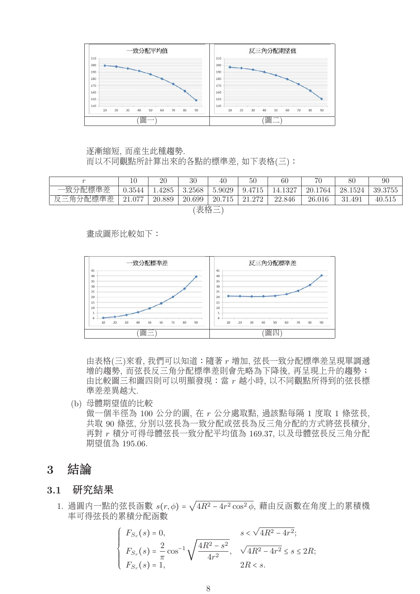

## 逐漸縮短, 而產生此種趨勢. 而以不同觀點所計算出來的各點的標準差, 如下表格(三):

|          | 10     | 20     | 30     | 40     | $50\,$ | 60      | $70-$   | 80      | 90      |  |
|----------|--------|--------|--------|--------|--------|---------|---------|---------|---------|--|
| 一致分配標準差  | 0.3544 | .4285  | 3.2568 | 5.9029 | 9.4715 | 14.1327 | 20.1764 | 28.1524 | 39.3755 |  |
| 反三角分配標準差 | 21.077 | 20.889 | 20.699 | 20.715 | 21.272 | 22.846  | 26.016  | 31.491  | 40.515  |  |
| '表格三     |        |        |        |        |        |         |         |         |         |  |

畫成圖形比較如下:



由表格(三)來看, 我們可以知道:隨著 r 增加, 弦長一致分配標準差呈現單調遞 增的趨勢, 而弦長反三角分配標準差則會先略為下降後, 再呈現上升的趨勢; 由比較圖三和圖四則可以明顯發現:當 r 越小時, 以不同觀點所得到的弦長標 準差差異越大.

(b) 母體期望值的比較 做一個半徑為 100 公分的圓, 在 r 公分處取點, 過該點每隔 1 度取 1 條弦長, 共取 90 條弦, 分別以弦長為一致分配或弦長為反三角分配的方式將弦長積分, 再對 r 積分可得母體弦長一致分配平均值為 169.37, 以及母體弦長反三角分配 期望值為 195.06.

## **3** 結論

## **3.1** 研究結果

1. 過圓内一點的弦長函數  $s(r, φ) = \sqrt{4R^2 - 4r^2 \cos^2 φ}$ , 藉由反函數在角度上的累積機 率可得弦長的累積分配函數

$$
\begin{cases}\nF_{S_r}(s) = 0, & s < \sqrt{4R^2 - 4r^2}; \\
F_{S_r}(s) = \frac{2}{\pi} \cos^{-1} \sqrt{\frac{4R^2 - s^2}{4r^2}}, & \sqrt{4R^2 - 4r^2} \le s \le 2R; \\
F_{S_r}(s) = 1, & 2R < s.\n\end{cases}
$$